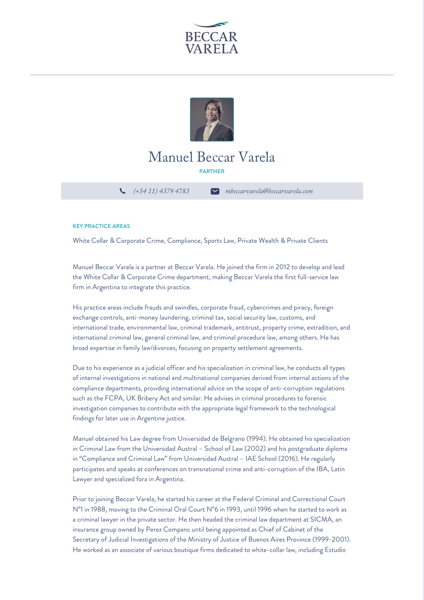



## Manuel Beccar Varela

**PARTNER**

*(+54 11) 4379 4783 mbeccarvarela@beccarvarela.com*

## **KEY PRACTICE AREAS**

White Collar & Corporate Crime, Compliance, Sports Law, Private Wealth & Private Clients

Manuel Beccar Varela is a partner at Beccar Varela. He joined the firm in 2012 to develop and lead the White Collar & Corporate Crime department, making Beccar Varela the first full-service law firm in Argentina to integrate this practice.

His practice areas include frauds and swindles, corporate fraud, cybercrimes and piracy, foreign exchange controls, anti-money laundering, criminal tax, social security law, customs, and international trade, environmental law, criminal trademark, antitrust, property crime, extradition, and international criminal law, general criminal law, and criminal procedure law, among others. He has broad expertise in family law/divorces, focusing on property settlement agreements.

Due to his experience as a judicial officer and his specialization in criminal law, he conducts all types of internal investigations in national and multinational companies derived from internal actions of the compliance departments, providing international advice on the scope of anti-corruption regulations such as the FCPA, UK Bribery Act and similar. He advises in criminal procedures to forensic investigation companies to contribute with the appropriate legal framework to the technological findings for later use in Argentine justice.

Manuel obtained his Law degree from Universidad de Belgrano (1994). He obtained his specialization in Criminal Law from the Universidad Austral – School of Law (2002) and his postgraduate diploma in "Compliance and Criminal Law" from Universidad Austral – IAE School (2016). He regularly participates and speaks at conferences on transnational crime and anti-corruption of the IBA, Latin Lawyer and specialized fora in Argentina.

Prior to joining Beccar Varela, he started his career at the Federal Criminal and Correctional Court N°1 in 1988, moving to the Criminal Oral Court N°6 in 1993, until 1996 when he started to work as a criminal lawyer in the private sector. He then headed the criminal law department at SICMA, an insurance group owned by Perez Companc until being appointed as Chief of Cabinet of the Secretary of Judicial Investigations of the Ministry of Justice of Buenos Aires Province (1999-2001). He worked as an associate of various boutique firms dedicated to white-collar law, including Estudio